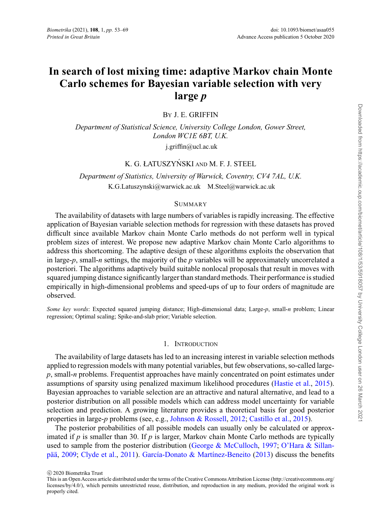# **In search of lost mixing time: adaptive Markov chain Monte Carlo schemes for Bayesian variable selection with very large** *p*

By J. E. GRIFFIN

*Department of Statistical Science, University College London, Gower Street, London WC1E 6BT, U.K.* j.griffin@ucl.ac.uk

# K. G. ŁATUSZYŃSKI AND M. F. J. STEEL

*Department of Statistics, University of Warwick, Coventry, CV4 7AL, U.K.* K.G.Latuszynski@warwick.ac.uk M.Steel@warwick.ac.uk

## **SUMMARY**

The availability of datasets with large numbers of variables is rapidly increasing. The effective application of Bayesian variable selection methods for regression with these datasets has proved difficult since available Markov chain Monte Carlo methods do not perform well in typical problem sizes of interest. We propose new adaptive Markov chain Monte Carlo algorithms to address this shortcoming. The adaptive design of these algorithms exploits the observation that in large-*p*, small-*n* settings, the majority of the *p* variables will be approximately uncorrelated a posteriori. The algorithms adaptively build suitable nonlocal proposals that result in moves with squared jumping distance significantly larger than standard methods. Their performance is studied empirically in high-dimensional problems and speed-ups of up to four orders of magnitude are observed.

*Some key words*: Expected squared jumping distance; High-dimensional data; Large-*p*, small-*n* problem; Linear regression; Optimal scaling; Spike-and-slab prior; Variable selection.

## 1. Introduction

The availability of large datasets has led to an increasing interest in variable selection methods applied to regression models with many potential variables, but few observations, so-called large*p*, small-*n* problems. Frequentist approaches have mainly concentrated on point estimates under assumptions of sparsity using penalized maximum likelihood procedures [\(Hastie et al.](#page-15-0), [2015](#page-15-0)). Bayesian approaches to variable selection are an attractive and natural alternative, and lead to a posterior distribution on all possible models which can address model uncertainty for variable selection and prediction. A growing literature provides a theoretical basis for good posterior properties in large-*p* problems (see, e.g., [Johnson & Rossell,](#page-15-0) [2012](#page-15-0); [Castillo et al.](#page-15-0), [2015\)](#page-15-0).

The posterior probabilities of all possible models can usually only be calculated or approximated if *p* is smaller than 30. If *p* is larger, Markov chain Monte Carlo methods are typically use[d](#page-16-0) [to](#page-16-0) [sample](#page-16-0) [from](#page-16-0) [the](#page-16-0) [posterior](#page-16-0) [distribution](#page-16-0) [\(George & McCulloch](#page-15-0)[,](#page-16-0) [1997](#page-15-0); O'Hara & Sillanpää, [2009](#page-16-0); [Clyde et al.](#page-15-0), [2011](#page-15-0)). [García-Donato & Martínez-Beneito](#page-15-0) [\(2013\)](#page-15-0) discuss the benefits

<sup>© 2020</sup> Biometrika Trust

This is an Open Access article distributed under the terms of the Creative Commons Attribution License (http://creativecommons.org/ licenses/by/4.0/), which permits unrestricted reuse, distribution, and reproduction in any medium, provided the original work is properly cited.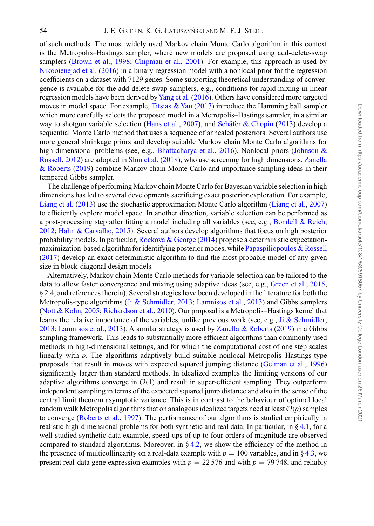of such methods. The most widely used Markov chain Monte Carlo algorithm in this context is the Metropolis–Hastings sampler, where new models are proposed using add-delete-swap samplers [\(Brown et al.,](#page-15-0) [1998](#page-15-0); [Chipman et al.](#page-15-0), [2001\)](#page-15-0). For example, this approach is used by [Nikooienejad et al.](#page-16-0) [\(2016](#page-16-0)) in a binary regression model with a nonlocal prior for the regression coefficients on a dataset with 7129 genes. Some supporting theoretical understanding of convergence is available for the add-delete-swap samplers, e.g., conditions for rapid mixing in linear regression models have been derived by[Yang et al.](#page-16-0) [\(2016](#page-16-0)). Others have considered more targeted moves in model space. For example, Titsias  $& Yau (2017)$  $& Yau (2017)$  $& Yau (2017)$  introduce the Hamming ball sampler which more carefully selects the proposed model in a Metropolis–Hastings sampler, in a similar way to shotgun variable selection [\(Hans et al.](#page-15-0), [2007](#page-15-0)), and [Schäfer & Chopin](#page-16-0) [\(2013\)](#page-16-0) develop a sequential Monte Carlo method that uses a sequence of annealed posteriors. Several authors use more general shrinkage priors and develop suitable Markov chain Monte Carlo algorithms for high-di[mensional problems \(see, e.g.,](#page-15-0) [Bhattacharya et al.,](#page-15-0) [2016\)](#page-15-0). Nonlocal priors (Johnson & Rossell, [2012\)](#page-15-0) are adopted in [Shin et al.](#page-16-0) [\(2018\), who use screening for high dimensions.](#page-16-0) Zanella & Roberts [\(2019](#page-16-0)) combine Markov chain Monte Carlo and importance sampling ideas in their tempered Gibbs sampler.

The challenge of performing Markov chain Monte Carlo for Bayesian variable selection in high dimensions has led to several developments sacrificing exact posterior exploration. For example, [Liang et al.](#page-15-0) [\(2013](#page-15-0)) use the stochastic approximation Monte Carlo algorithm [\(Liang et al.,](#page-15-0) [2007](#page-15-0)) to efficiently explore model space. In another direction, variable selection can be performed as a post-processing step after fitting a model including all variables (see, e.g., [Bondell & Reich](#page-15-0), [2012](#page-15-0); [Hahn & Carvalho,](#page-15-0) [2015](#page-15-0)). Several authors develop algorithms that focus on high posterior probability models. In particular, [Rockova & George](#page-16-0)  $(2014)$  $(2014)$  propose a deterministic expectationmaximization-based algorithm for identifying posterior modes, while [Papaspiliopoulos & Rossell](#page-16-0) [\(2017](#page-16-0)) develop an exact deterministic algorithm to find the most probable model of any given size in block-diagonal design models.

Alternatively, Markov chain Monte Carlo methods for variable selection can be tailored to the data to allow faster convergence and mixing using adaptive ideas (see, e.g., [Green et al.](#page-15-0), [2015](#page-15-0), § 2.4, and references therein). Several strategies have been developed in the literature for both the Metropolis-type algorithms [\(Ji & Schmidler](#page-15-0), [2013](#page-15-0); [Lamnisos et al.,](#page-15-0) [2013\)](#page-15-0) and Gibbs samplers [\(Nott & Kohn,](#page-16-0) [2005;](#page-16-0) [Richardson et al.,](#page-16-0) [2010\)](#page-16-0). Our proposal is a Metropolis–Hastings kernel that learns the relative importance of the variables, unlike previous work (see, e.g., [Ji & Schmidler](#page-15-0), [2013](#page-15-0); [Lamnisos et al.,](#page-15-0) [2013](#page-15-0)). A similar strategy is used by [Zanella & Roberts](#page-16-0) [\(2019\)](#page-16-0) in a Gibbs sampling framework. This leads to substantially more efficient algorithms than commonly used methods in high-dimensional settings, and for which the computational cost of one step scales linearly with *p*. The algorithms adaptively build suitable nonlocal Metropolis–Hastings-type proposals that result in moves with expected squared jumping distance [\(Gelman et al.,](#page-15-0) [1996](#page-15-0)) significantly larger than standard methods. In idealized examples the limiting versions of our adaptive algorithms converge in  $\mathcal{O}(1)$  and result in super-efficient sampling. They outperform independent sampling in terms of the expected squared jump distance and also in the sense of the central limit theorem asymptotic variance. This is in contrast to the behaviour of optimal local random walk Metropolis algorithms that on analogous idealized targets need at least  $\mathcal{O}(p)$  samples to converge [\(Roberts et al.](#page-16-0), [1997\)](#page-16-0). The performance of our algorithms is studied empirically in realistic high-dimensional problems for both synthetic and real data. In particular, in § [4.1,](#page-10-0) for a well-studied synthetic data example, speed-ups of up to four orders of magnitude are observed compared to standard algorithms. Moreover, in  $\S 4.2$ , we show the efficiency of the method in the presence of multicollinearity on a real-data example with  $p = 100$  variables, and in § [4.3,](#page-13-0) we present real-data gene expression examples with  $p = 22576$  and with  $p = 79748$ , and reliably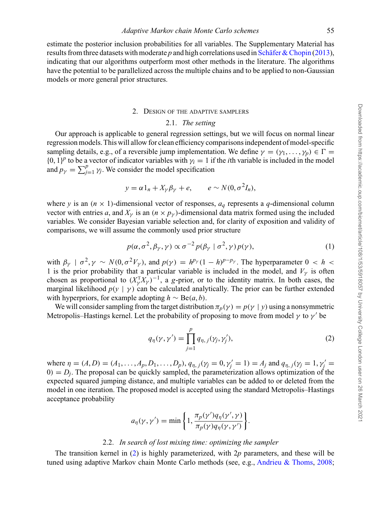<span id="page-2-0"></span>estimate the posterior inclusion probabilities for all variables. The [Supplementary Material](https://academic.oup.com/biomet/article-lookup/doi/10.1093/biomet/asaa055#supplementary-data) has results from three datasets with moderate *p* and high correlations used in [Schäfer & Chopin](#page-16-0) [\(2013](#page-16-0)), indicating that our algorithms outperform most other methods in the literature. The algorithms have the potential to be parallelized across the multiple chains and to be applied to non-Gaussian models or more general prior structures.

## 2. Design of the adaptive samplers

## 2.1. *The setting*

Our approach is applicable to general regression settings, but we will focus on normal linear regression models. This will allow for clean efficiency comparisons independent of model-specific sampling details, e.g., of a reversible jump implementation. We define  $\gamma = (\gamma_1, \dots, \gamma_p) \in \Gamma$  ${0, 1}^p$  to be a vector of indicator variables with  $\gamma_i = 1$  if the *i*th variable is included in the model and  $p_{\gamma} = \sum_{j=1}^{p} \gamma_j$ . We consider the model specification

$$
y = \alpha 1_n + X_{\gamma} \beta_{\gamma} + e, \qquad e \sim N(0, \sigma^2 I_n),
$$

where *y* is an  $(n \times 1)$ -dimensional vector of responses,  $a_q$  represents a *q*-dimensional column vector with entries *a*, and  $X<sub>V</sub>$  is an ( $n \times p<sub>V</sub>$ )-dimensional data matrix formed using the included variables. We consider Bayesian variable selection and, for clarity of exposition and validity of comparisons, we will assume the commonly used prior structure

$$
p(\alpha, \sigma^2, \beta_\gamma, \gamma) \propto \sigma^{-2} p(\beta_\gamma \mid \sigma^2, \gamma) p(\gamma), \tag{1}
$$

with  $\beta_{\gamma}$  |  $\sigma^2$ ,  $\gamma \sim N(0, \sigma^2 V_{\gamma})$ , and  $p(\gamma) = h^{p_{\gamma}}(1-h)^{p-p_{\gamma}}$ . The hyperparameter 0 < *h* < 1 is the prior probability that a particular variable is included in the model, and  $V<sub>\gamma</sub>$  is often chosen as proportional to  $(X_{\gamma}^T X_{\gamma})^{-1}$ , a *g*-prior, or to the identity matrix. In both cases, the marginal likelihood  $p(y | y)$  can be calculated analytically. The prior can be further extended with hyperpriors, for example adopting  $h \sim Be(a, b)$ .

We will consider sampling from the target distribution  $\pi_p(\gamma) = p(\gamma | y)$  using a nonsymmetric Metropolis–Hastings kernel. Let the probability of proposing to move from model  $\gamma$  to  $\gamma'$  be

$$
q_{\eta}(\gamma, \gamma') = \prod_{j=1}^{p} q_{\eta, j}(\gamma_j, \gamma'_j), \qquad (2)
$$

where  $\eta = (A, D) = (A_1, \dots, A_p, D_1, \dots, D_p), q_{\eta, j}(\gamma_j = 0, \gamma'_j = 1) = A_j$  and  $q_{\eta, j}(\gamma_j = 1, \gamma'_j = 1)$  $0 = D_i$ . The proposal can be quickly sampled, the parameterization allows optimization of the expected squared jumping distance, and multiple variables can be added to or deleted from the model in one iteration. The proposed model is accepted using the standard Metropolis–Hastings acceptance probability

$$
a_{\eta}(\gamma, \gamma') = \min\left\{1, \frac{\pi_p(\gamma')q_{\eta}(\gamma', \gamma)}{\pi_p(\gamma)q_{\eta}(\gamma, \gamma')}\right\}.
$$

## 2.2. *In search of lost mixing time: optimizing the sampler*

The transition kernel in (2) is highly parameterized, with 2*p* parameters, and these will be tuned using adaptive Markov chain Monte Carlo methods (see, e.g., [Andrieu & Thoms,](#page-15-0) [2008;](#page-15-0)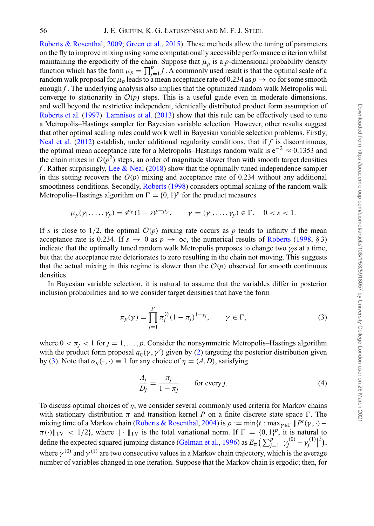<span id="page-3-0"></span>[Roberts & Rosenthal](#page-16-0), [2009;](#page-16-0) [Green et al.](#page-15-0), [2015\)](#page-15-0). These methods allow the tuning of parameters on the fly to improve mixing using some computationally accessible performance criterion whilst maintaining the ergodicity of the chain. Suppose that  $\mu_p$  is a *p*-dimensional probability density function which has the form  $\mu_p = \prod_{j=1}^p f$ . A commonly used result is that the optimal scale of a random walk proposal for  $\mu_p$  leads to a mean acceptance rate of 0.234 as  $p \to \infty$  for some smooth enough *f* . The underlying analysis also implies that the optimized random walk Metropolis will converge to stationarity in  $\mathcal{O}(p)$  steps. This is a useful guide even in moderate dimensions, and well beyond the restrictive independent, identically distributed product form assumption of [Roberts et al.](#page-16-0) [\(1997\)](#page-16-0). [Lamnisos et al.](#page-15-0) [\(2013](#page-15-0)) show that this rule can be effectively used to tune a Metropolis–Hastings sampler for Bayesian variable selection. However, other results suggest that other optimal scaling rules could work well in Bayesian variable selection problems. Firstly, [Neal et al.](#page-16-0) [\(2012\)](#page-16-0) establish, under additional regularity conditions, that if *f* is discontinuous, the optimal mean acceptance rate for a Metropolis–Hastings random walk is  $e^{-2} \approx 0.1353$  and the chain mixes in  $O(p^2)$  steps, an order of magnitude slower than with smooth target densities *f* . Rather surprisingly, [Lee & Neal](#page-15-0) [\(2018](#page-15-0)) show that the optimally tuned independence sampler in this setting recovers the  $O(p)$  mixing and acceptance rate of 0.234 without any additional smoothness conditions. Secondly, [Roberts](#page-16-0) [\(1998](#page-16-0)) considers optimal scaling of the random walk Metropolis–Hastings algorithm on  $\Gamma = \{0, 1\}^p$  for the product measures

$$
\mu_p(\gamma_1,\ldots,\gamma_p)=s^{p_\gamma}(1-s)^{p-p_\gamma}, \qquad \gamma=(\gamma_1,\ldots,\gamma_p)\in\Gamma, \quad 0
$$

If *s* is close to  $1/2$ , the optimal  $\mathcal{O}(p)$  mixing rate occurs as *p* tends to infinity if the mean acceptance rate is 0.234. If  $s \to 0$  as  $p \to \infty$ , the numerical results of [Roberts](#page-16-0) [\(1998,](#page-16-0) § 3) indicate that the optimally tuned random walk Metropolis proposes to change two γ*j*s at a time, but that the acceptance rate deteriorates to zero resulting in the chain not moving. This suggests that the actual mixing in this regime is slower than the  $\mathcal{O}(p)$  observed for smooth continuous densities.

In Bayesian variable selection, it is natural to assume that the variables differ in posterior inclusion probabilities and so we consider target densities that have the form

$$
\pi_p(\gamma) = \prod_{j=1}^p \pi_j^{\gamma_j} (1 - \pi_j)^{1 - \gamma_j}, \qquad \gamma \in \Gamma,
$$
\n(3)

where  $0 < \pi_j < 1$  for  $j = 1, \ldots, p$ . Consider the nonsymmetric Metropolis–Hastings algorithm with the product form proposal  $q_{\eta}(\gamma, \gamma')$  given by [\(2\)](#page-2-0) targeting the posterior distribution given by (3). Note that  $\alpha_{\eta}(\cdot, \cdot) \equiv 1$  for any choice of  $\eta = (A, D)$ , satisfying

$$
\frac{A_j}{D_j} = \frac{\pi_j}{1 - \pi_j} \qquad \text{for every } j.
$$
\n(4)

To discuss optimal choices of  $\eta$ , we consider several commonly used criteria for Markov chains with stationary distribution  $\pi$  and transition kernel *P* on a finite discrete state space  $\Gamma$ . The mixing time of a Markov chain [\(Roberts & Rosenthal](#page-16-0), [2004](#page-16-0)) is  $\rho := \min\{t : \max_{\gamma \in \Gamma} ||P^t(\gamma, \cdot) \pi(\cdot) \|_{TV} < 1/2$ , where  $\| \cdot \|_{TV}$  is the total variational norm. If  $\Gamma = \{0, 1\}^p$ , it is natural to define the expected squared jumping distance [\(Gelman et al.](#page-15-0), [1996](#page-15-0)) as  $E_{\pi}$   $\left(\sum_{i=1}^{p}$  $\gamma_{j=1}^{p} |\gamma_{j}^{(0)} - \gamma_{j}^{(1)}|^2$ where  $\gamma^{(0)}$  and  $\gamma^{(1)}$  are two consecutive values in a Markov chain trajectory, which is the average number of variables changed in one iteration. Suppose that the Markov chain is ergodic; then, for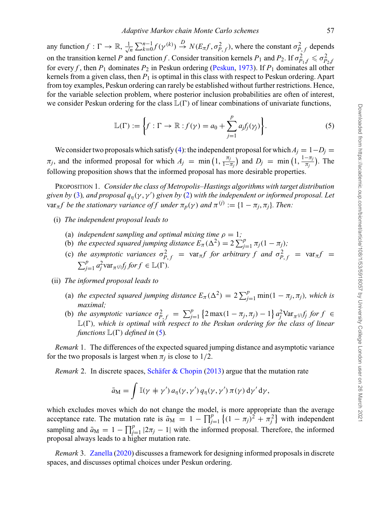<span id="page-4-0"></span>any function  $f: \Gamma \to \mathbb{R}, \frac{1}{\sqrt{2}}$  $\frac{1}{n} \sum_{k=0}^{n-1} f(\gamma^{(k)}) \stackrel{D}{\to} N(E_{\pi}f, \sigma_{P,f}^2)$ , where the constant  $\sigma_{P,f}^2$  depends on the transition kernel *P* and function *f*. Consider transition kernels  $P_1$  and  $P_2$ . If  $\sigma_{P_1,f}^2 \le \sigma_{P_2,f}^2$ for every *f*, then  $P_1$  dominates  $P_2$  in Peskun ordering [\(Peskun](#page-16-0), [1973\)](#page-16-0). If  $P_1$  dominates all other kernels from a given class, then *P*<sup>1</sup> is optimal in this class with respect to Peskun ordering. Apart from toy examples, Peskun ordering can rarely be established without further restrictions. Hence, for the variable selection problem, where posterior inclusion probabilities are often of interest, we consider Peskun ordering for the class  $\mathbb{L}(\Gamma)$  of linear combinations of univariate functions,

$$
\mathbb{L}(\Gamma) := \left\{ f : \Gamma \to \mathbb{R} : f(\gamma) = a_0 + \sum_{j=1}^p a_j f_j(\gamma_j) \right\}.
$$
 (5)

We consider two proposals which satisfy [\(4\)](#page-3-0): the independent proposal for which  $A_j = 1 - D_j =$  $\pi_j$ , and the informed proposal for which  $A_j = \min\left(1, \frac{\pi_j}{1-\pi_j}\right)$  and  $D_j = \min\left(1, \frac{1-\pi_j}{\pi_j}\right)$ . The following proposition shows that the informed proposal has more desirable properties.

Proposition 1. *Consider the class of Metropolis–Hastings algorithms with target distribution given by* [\(3\)](#page-3-0)*, and proposal q*η(γ , γ ) *given by* [\(2\)](#page-2-0) *with the independent or informed proposal. Let*  $var_{π}$ *f be the stationary variance of f under*  $π_p(γ)$  *and*  $π<sup>(j)</sup> := {1 − π<sub>j</sub>, π<sub>j</sub>}$ *. Then:* 

- (i) *The independent proposal leads to*
	- (a) *independent sampling and optimal mixing time*  $\rho = 1$ ;
	- (b) the expected squared jumping distance  $E_{\pi}(\Delta^2) = 2 \sum_{j=1}^{p} \pi_j (1 \pi_j)$ ;
	- (c) the asymptotic variances  $\sigma_{P,f}^2 = \text{var}_{\pi}f$  for arbitrary f and  $\sigma_{P,f}^2 = \text{var}_{\pi}f =$  $\sum_{j=1}^p a_j^2 \text{var}_{\pi^{(j)}} f_j$  *for*  $f \in \mathbb{L}(\Gamma)$ .
- (ii) *The informed proposal leads to*
	- (a) the expected squared jumping distance  $E_{\pi}(\Delta^2) = 2 \sum_{j=1}^{p} \min(1 \pi_j, \pi_j)$ , which is *maximal;*
	- (b) *the asymptotic variance*  $\sigma_{P,f}^2 = \sum_{j=1}^p p_j^2$ *p*<sub>*j*</sub> = 1</sub>  $\left\{2 \max(1 - \pi_j, \pi_j) - 1\right\} a_j^2 \text{Var}_{\pi^{(j)}} f_j \text{ for } f \in$  $L(\Gamma)$ , which is optimal with respect to the Peskun ordering for the class of linear *functions*  $\mathbb{L}(\Gamma)$  *defined in* (5).

*Remark* 1. The differences of the expected squared jumping distance and asymptotic variance for the two proposals is largest when  $\pi_i$  is close to 1/2.

*Remark* 2. In discrete spaces, [Schäfer & Chopin](#page-16-0) [\(2013\)](#page-16-0) argue that the mutation rate

$$
\bar{a}_{\mathbf{M}} = \int \mathbb{I}(\gamma + \gamma') a_{\eta}(\gamma, \gamma') q_{\eta}(\gamma, \gamma') \pi(\gamma) d\gamma' d\gamma,
$$

which excludes moves which do not change the model, is more appropriate than the average acceptance rate. The mutation rate is  $\overline{a}_M = 1 - \prod_{j=1}^p \left\{ (1 - \pi_j)^2 + \pi_j^2 \right\}$  with independent sampling and  $\bar{a}_{\text{M}} = 1 - \prod_{j=1}^{p} |2\pi_j - 1|$  with the informed proposal. Therefore, the informed proposal always leads to a higher mutation rate.

*Remark* 3. [Zanella](#page-16-0) [\(2020](#page-16-0)) discusses a framework for designing informed proposals in discrete spaces, and discusses optimal choices under Peskun ordering.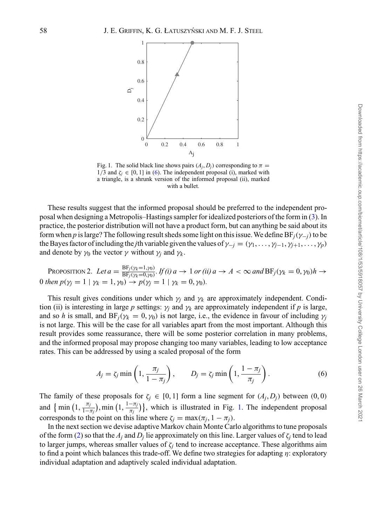<span id="page-5-0"></span>

Fig. 1. The solid black line shows pairs  $(A_i, D_j)$  corresponding to  $\pi =$ 1/3 and  $\zeta_j \in [0, 1]$  in (6). The independent proposal (i), marked with a triangle, is a shrunk version of the informed proposal (ii), marked with a bullet.

These results suggest that the informed proposal should be preferred to the independent proposal when designing a Metropolis–Hastings sampler for idealized posteriors of the form in [\(3\)](#page-3-0). In practice, the posterior distribution will not have a product form, but can anything be said about its form when *p* is large? The following result sheds some light on this issue. We define  $BF_j(\gamma_{-j})$  to be the Bayes factor of including the *j*th variable given the values of  $\gamma_{-j} = (\gamma_1, \dots, \gamma_{j-1}, \gamma_{j+1}, \dots, \gamma_p)$ and denote by  $\gamma_0$  the vector  $\gamma$  without  $\gamma_i$  and  $\gamma_k$ .

PROPOSITION 2. Let 
$$
a = \frac{BF_j(\gamma_k=1,\gamma_0)}{BF_j(\gamma_k=0,\gamma_0)}
$$
. If (i)  $a \to 1$  or (ii)  $a \to A < \infty$  and BF<sub>j</sub>( $\gamma_k = 0, \gamma_0$ ) $h \to 0$  then  $p(\gamma_j = 1 | \gamma_k = 1, \gamma_0) \to p(\gamma_j = 1 | \gamma_k = 0, \gamma_0)$ .

This result gives conditions under which  $\gamma_i$  and  $\gamma_k$  are approximately independent. Condition (ii) is interesting in large *p* settings:  $\gamma_i$  and  $\gamma_k$  are approximately independent if *p* is large, and so *h* is small, and  $BF_j(\gamma_k = 0, \gamma_0)$  is not large, i.e., the evidence in favour of including  $\gamma_j$ is not large. This will be the case for all variables apart from the most important. Although this result provides some reassurance, there will be some posterior correlation in many problems, and the informed proposal may propose changing too many variables, leading to low acceptance rates. This can be addressed by using a scaled proposal of the form

$$
A_j = \zeta_j \min\left(1, \frac{\pi_j}{1 - \pi_j}\right), \qquad D_j = \zeta_j \min\left(1, \frac{1 - \pi_j}{\pi_j}\right). \tag{6}
$$

The family of these proposals for  $\zeta_i \in [0, 1]$  form a line segment for  $(A_i, D_i)$  between  $(0, 0)$ and  $\{\min(1, \frac{\pi_j}{1-\pi_j}), \min(1, \frac{1-\pi_j}{\pi_j})\}\$ , which is illustrated in Fig. 1. The independent proposal corresponds to the point on this line where  $\zeta_i = \max(\pi_i, 1 - \pi_i)$ .

In the next section we devise adaptive Markov chain Monte Carlo algorithms to tune proposals of the form [\(2\)](#page-2-0) so that the  $A_i$  and  $D_i$  lie approximately on this line. Larger values of  $\zeta_i$  tend to lead to larger jumps, whereas smaller values of  $\zeta_i$  tend to increase acceptance. These algorithms aim to find a point which balances this trade-off. We define two strategies for adapting  $\eta$ : exploratory individual adaptation and adaptively scaled individual adaptation.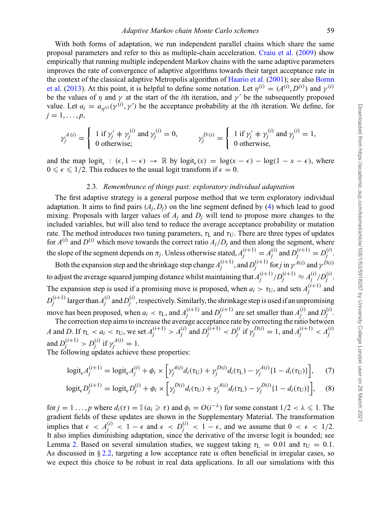<span id="page-6-0"></span>With both forms of adaptation, we run independent parallel chains which share the same proposal parameters and refer to this as multiple-chain acceleration. [Craiu et al.](#page-15-0) [\(2009](#page-15-0)) show empirically that running multiple independent Markov chains with the same adaptive parameters improves the rate of convergence of adaptive algorithms towards their target acceptance rate in the c[ontext of the classical adaptive Metropolis algorithm of](#page-15-0) [Haario et al.](#page-15-0) [\(2001\)](#page-15-0); see also Bornn et al. [\(2013\)](#page-15-0). At this point, it is helpful to define some notation. Let  $\eta^{(i)} = (A^{(i)}, D^{(i)})$  and  $\gamma^{(i)}$ be the values of  $\eta$  and  $\gamma$  at the start of the *i*th iteration, and  $\gamma'$  be the subsequently proposed value. Let  $a_i = a_{\eta^{(i)}}(\gamma^{(i)}, \gamma')$  be the acceptance probability at the *i*th iteration. We define, for  $j = 1, \ldots, p$ ,

$$
\gamma_j^{A(i)} = \begin{cases} 1 \text{ if } \gamma_j' \neq \gamma_j^{(i)} \text{ and } \gamma_j^{(i)} = 0, \\ 0 \text{ otherwise;} \end{cases} \qquad \gamma_j^{D(i)} = \begin{cases} 1 \text{ if } \gamma_j' \neq \gamma_j^{(i)} \text{ and } \gamma_j^{(i)} = 1, \\ 0 \text{ otherwise,} \end{cases}
$$

and the map logit<sub>e</sub> :  $(\epsilon, 1 - \epsilon) \rightarrow \mathbb{R}$  by logit<sub>e</sub>(x) = log(x -  $\epsilon$ ) - log(1 - x -  $\epsilon$ ), where  $0 \le \epsilon \le 1/2$ . This reduces to the usual logit transform if  $\epsilon = 0$ .

#### 2.3. *Remembrance of things past: exploratory individual adaptation*

The first adaptive strategy is a general purpose method that we term exploratory individual adaptation. It aims to find pairs  $(A_j, D_j)$  on the line segment defined by [\(4\)](#page-3-0) which lead to good mixing. Proposals with larger values of  $A_j$  and  $D_j$  will tend to propose more changes to the included variables, but will also tend to reduce the average acceptance probability or mutation rate. The method introduces two tuning parameters,  $\tau_L$  and  $\tau_U$ . There are three types of updates for  $A^{(i)}$  and  $D^{(i)}$  which move towards the correct ratio  $A_j/D_j$  and then along the segment, where the slope of the segment depends on  $\pi_j$ . Unless otherwise stated,  $A_j^{(i+1)} = A_j^{(i)}$  and  $D_j^{(i+1)} = D_j^{(i)}$ .

Both the expansion step and the shrinkage step change  $A_j^{(i+1)}$ , and  $D_j^{(i+1)}$  for *j* in  $\gamma^{A(i)}$  and  $\gamma^{D(i)}$ to adjust the average squared jumping distance whilst maintaining that  $A_j^{(i+1)}/D_j^{(i+1)} \approx A_j^{(i)}/D_j^{(i)}$ . The expansion step is used if a promising move is proposed, when  $a_i > \tau_U$ , and sets  $A_j^{(i+1)}$  and  $D_j^{(i+1)}$  larger than  $A_j^{(i)}$  and  $D_j^{(i)}$ , respectively. Similarly, the shrinkage step is used if an unpromising move has been proposed, when  $a_i < \tau_L$ , and  $A_j^{(i+1)}$  and  $D_j^{(i+1)}$  are set smaller than  $A_j^{(i)}$  and  $D_j^{(i)}$ .

The correction step aims to increase the average acceptance rate by correcting the ratio between A and D. If  $\tau_L < a_i < \tau_U$ , we set  $A_j^{(i+1)} > A_j^{(i)}$  and  $D_j^{(i+1)} < D_j^{(i)}$  if  $\gamma_j^{D(i)} = 1$ , and  $A_j^{(i+1)} < A_j^{(i)}$ and  $D_j^{(i+1)} > D_j^{(i)}$  if  $\gamma_j^{A(i)} = 1$ .

The following updates achieve these properties:

$$
\text{logit}_{\epsilon} A_j^{(i+1)} = \text{logit}_{\epsilon} A_j^{(i)} + \phi_i \times \left[ \gamma_j^{A(i)} d_i(\tau_U) + \gamma_j^{D(i)} d_i(\tau_L) - \gamma_j^{A(i)} \{1 - d_i(\tau_U)\}\right],\tag{7}
$$

$$
\text{logit}_{\epsilon} D_j^{(i+1)} = \text{logit}_{\epsilon} D_j^{(i)} + \phi_i \times \left[ \gamma_j^{D(i)} d_i(\tau_U) + \gamma_j^{A(i)} d_i(\tau_L) - \gamma_j^{D(i)} \{1 - d_i(\tau_U)\}\right], \quad (8)
$$

for  $j = 1 \ldots p$  where  $d_i(\tau) = \mathbb{I} (a_i \geq \tau)$  and  $\phi_i = O(i^{-\lambda})$  for some constant  $1/2 < \lambda \leq 1$ . The gradient fields of these updates are shown in the [Supplementary Material.](https://academic.oup.com/biomet/article-lookup/doi/10.1093/biomet/asaa055#supplementary-data) The transformation implies that  $\epsilon < A_j^{(i)} < 1 - \epsilon$  and  $\epsilon < D_j^{(i)} < 1 - \epsilon$ , and we assume that  $0 < \epsilon < 1/2$ . It also implies diminishing adaptation, since the derivative of the inverse logit is bounded; see Lemma [2.](#page-9-0) Based on several simulation studies, we suggest taking  $\tau_L = 0.01$  and  $\tau_U = 0.1$ . As discussed in § [2.2,](#page-2-0) targeting a low acceptance rate is often beneficial in irregular cases, so we expect this choice to be robust in real data applications. In all our simulations with this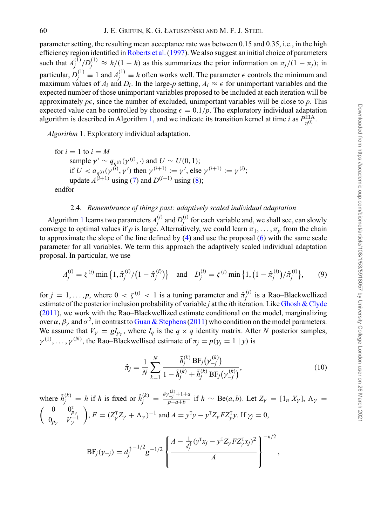<span id="page-7-0"></span>parameter setting, the resulting mean acceptance rate was between 0.15 and 0.35, i.e., in the high efficiency region identified in[Roberts et al.\(1997\)](#page-16-0).We also suggest an initial choice of parameters such that  $A_j^{(1)}/D_j^{(1)} \approx h/(1-h)$  as this summarizes the prior information on  $\pi_j/(1-\pi_j)$ ; in particular,  $D_j^{(1)} \equiv 1$  and  $A_j^{(1)} \equiv h$  often works well. The parameter  $\epsilon$  controls the minimum and maximum values of  $A_i$  and  $D_i$ . In the large-*p* setting,  $A_i \approx \epsilon$  for unimportant variables and the expected number of those unimportant variables proposed to be included at each iteration will be approximately  $p\epsilon$ , since the number of excluded, unimportant variables will be close to  $p$ . This expected value can be controlled by choosing  $\epsilon = 0.1/p$ . The exploratory individual adaptation algorithm is described in Algorithm 1, and we indicate its transition kernel at time *i* as  $P_{\eta^{(i)}}^{\text{EIA}}$ .

*Algorithm* 1. Exploratory individual adaptation.

for  $i = 1$  to  $i = M$ sample  $\gamma' \sim q_{\eta^{(i)}}(\gamma^{(i)}, \cdot)$  and  $U \sim U(0, 1)$ ; if  $U < a_{\eta^{(i)}}(\gamma^{(i)}, \gamma')$  then  $\gamma^{(i+1)} := \gamma'$ , else  $\gamma^{(i+1)} := \gamma^{(i)}$ ; update  $A^{(i+1)}$  using [\(7\)](#page-6-0) and  $D^{(i+1)}$  using [\(8\)](#page-6-0); endfor

# 2.4. *Remembrance of things past: adaptively scaled individual adaptation*

Algorithm 1 learns two parameters  $A_j^{(i)}$  and  $D_j^{(i)}$  for each variable and, we shall see, can slowly converge to optimal values if *p* is large. Alternatively, we could learn  $\pi_1, \ldots, \pi_p$  from the chain to approximate the slope of the line defined by  $(4)$  and use the proposal  $(6)$  with the same scale parameter for all variables. We term this approach the adaptively scaled individual adaptation proposal. In particular, we use

$$
A_j^{(i)} = \zeta^{(i)} \min\left\{1, \hat{\pi}_j^{(i)} / \left(1 - \hat{\pi}_j^{(i)}\right)\right\} \quad \text{and} \quad D_j^{(i)} = \zeta^{(i)} \min\left\{1, \left(1 - \hat{\pi}_j^{(i)}\right) / \hat{\pi}_j^{(i)}\right\},\tag{9}
$$

for  $j = 1, \ldots, p$ , where  $0 < \zeta^{(i)} < 1$  is a tuning parameter and  $\hat{\pi}_j^{(i)}$  is a Rao–Blackwellized estimate of the posterior inclusion probability of variable *j* at the *i*th iteration. Like [Ghosh & Clyde](#page-15-0) [\(2011](#page-15-0)), we work with the Rao–Blackwellized estimate conditional on the model, marginalizing over  $\alpha$ ,  $\beta$ <sub>y</sub> and  $\sigma^2$ , in contrast to Guan & Stephens (2011) who condition on the model parameters. We assume that  $V_{\gamma} = gI_{p_{\gamma}}$ , where  $I_q$  is the  $q \times q$  identity matrix. After *N* posterior samples,  $\gamma^{(1)}, \ldots, \gamma^{(N)}$ , the Rao–Blackwellised estimate of  $\pi_j = p(\gamma_j = 1 \mid y)$  is

$$
\hat{\pi}_j = \frac{1}{N} \sum_{k=1}^N \frac{\tilde{h}_j^{(k)} \operatorname{BF}_j(\gamma_{-j}^{(k)})}{1 - \tilde{h}_j^{(k)} + \tilde{h}_j^{(k)} \operatorname{BF}_j(\gamma_{-j}^{(k)})},\tag{10}
$$

,

where  $\tilde{h}_j^{(k)} = h$  if h is fixed or  $\tilde{h}_j^{(k)} = \frac{\# \gamma_{-j}^{(k)} + 1 + a}{p + a + b}$  if  $h \sim \text{Be}(a, b)$ . Let  $Z_{\gamma} = [1_n X_{\gamma}], \Lambda_{\gamma} =$  $\left(\begin{array}{cc} 0 & 0^{\text{T}}_{p_{\gamma}} \\ 0_{p_{\gamma}} & V_{\gamma}^{-1} \end{array}\right)$  $\int$ ,  $F = (Z_{\gamma}^{T}Z_{\gamma} + \Lambda_{\gamma})^{-1}$  and  $A = y^{T}y - y^{T}Z_{\gamma}FZ_{\gamma}^{T}y$ . If  $\gamma_{j} = 0$ ,

$$
BF_j(\gamma_{-j}) = d_j^{\uparrow -1/2} g^{-1/2} \left\{ \frac{A - \frac{1}{d_j^{\uparrow}} (y^{\text{T}} x_j - y^{\text{T}} Z_{\gamma} F Z_{\gamma}^{\text{T}} x_j)^2}{A} \right\}^{-n/2}
$$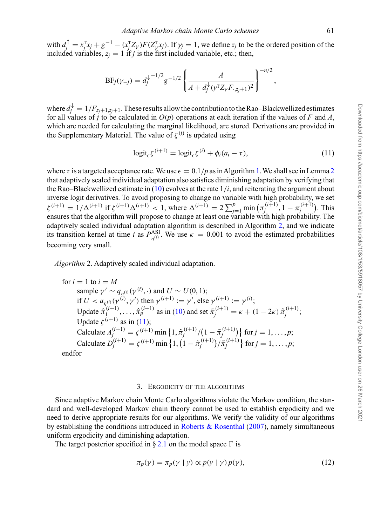<span id="page-8-0"></span>with  $d_j^{\uparrow} = x_j^{\text{T}} x_j + g^{-1} - (x_j^{\text{T}} Z_{\gamma}) F(Z_{\gamma}^{\text{T}} x_j)$ . If  $\gamma_j = 1$ , we define  $z_j$  to be the ordered position of the included variables,  $z_i = 1$  if *j* is the first included variable, etc.; then,

$$
BF_j(\gamma_{-j}) = d_j^{\downarrow -1/2} g^{-1/2} \left\{ \frac{A}{A + d_j^{\downarrow} (y^{T} Z_{\gamma} F_{\cdot, z_j + 1})^2} \right\}^{-n/2},
$$

where  $d_j^{\downarrow} = 1/F_{z_j+1,z_j+1}$ . These results allow the contribution to the Rao–Blackwellized estimates for all values of  $\tilde{j}$  to be calculated in  $O(p)$  operations at each iteration if the values of F and A, which are needed for calculating the marginal likelihood, are stored. Derivations are provided in the [Supplementary Material.](https://academic.oup.com/biomet/article-lookup/doi/10.1093/biomet/asaa055#supplementary-data) The value of  $\zeta^{(i)}$  is updated using

$$
logit_{\epsilon} \zeta^{(i+1)} = logit_{\epsilon} \zeta^{(i)} + \phi_i (a_i - \tau), \qquad (11)
$$

where  $\tau$  is a targeted acceptance rate. We use  $\epsilon = 0.1/p$  as in Algorithm [1.](#page-7-0) We shall see in Lemma [2](#page-9-0) that adaptively scaled individual adaptation also satisfies diminishing adaptation by verifying that the Rao–Blackwellized estimate in  $(10)$  evolves at the rate  $1/i$ , and reiterating the argument about inverse logit derivatives. To avoid proposing to change no variable with high probability, we set  $\zeta^{(i+1)} = 1/\Delta^{(i+1)}$  if  $\zeta^{(i+1)}\Delta^{(i+1)} < 1$ , where  $\Delta^{(i+1)} = 2\sum_{j=1}^p \min(\pi_j^{(i+1)}, 1 - \pi_j^{(i+1)})$ . This ensures that the algorithm will propose to change at least one variable with high probability. The adaptively scaled individual adaptation algorithm is described in Algorithm 2, and we indicate its transition kernel at time *i* as  $P_{\eta^{(i)}}^{\text{ASI}}$ . We use  $\kappa = 0.001$  to avoid the estimated probabilities becoming very small.

*Algorithm* 2. Adaptively scaled individual adaptation.

for  $i = 1$  to  $i = M$ sample  $\gamma' \sim q_{\eta^{(i)}}(\gamma^{(i)}, \cdot)$  and  $U \sim U(0, 1)$ ; if  $U < a_{\eta^{(i)}}(\gamma^{(i)}, \gamma')$  then  $\gamma^{(i+1)} := \gamma'$ , else  $\gamma^{(i+1)} := \gamma^{(i)}$ ; Update  $\hat{\pi}_1^{(i+1)}, \dots, \hat{\pi}_p^{(i+1)}$  as in [\(10\)](#page-7-0) and set  $\tilde{\pi}_j^{(i+1)} = \kappa + (1 - 2\kappa) \hat{\pi}_j^{(i+1)}$ ; Update  $\zeta^{(i+1)}$  as in (11); Calculate  $A_j^{(i+1)} = \zeta^{(i+1)} \min\left\{1, \tilde{\pi}_j^{(i+1)}/\left(1 - \tilde{\pi}_j^{(i+1)}\right)\right\}$  for  $j = 1, ..., p$ ; Calculate  $D_j^{(i+1)} = \zeta^{(i+1)} \min\left\{1, \left(1 - \tilde{\pi}_j^{(i+1)}\right) / \tilde{\pi}_j^{(i+1)}\right\}$  for  $j = 1, ..., p$ ; endfor

#### 3. Ergodicity of the algorithms

Since adaptive Markov chain Monte Carlo algorithms violate the Markov condition, the standard and well-developed Markov chain theory cannot be used to establish ergodicity and we need to derive appropriate results for our algorithms. We verify the validity of our algorithms by establishing the conditions introduced in [Roberts & Rosenthal](#page-16-0) [\(2007](#page-16-0)), namely simultaneous uniform ergodicity and diminishing adaptation.

The target posterior specified in  $\S 2.1$  $\S 2.1$  on the model space  $\Gamma$  is

$$
\pi_p(\gamma) = \pi_p(\gamma \mid y) \propto p(y \mid \gamma) p(\gamma), \tag{12}
$$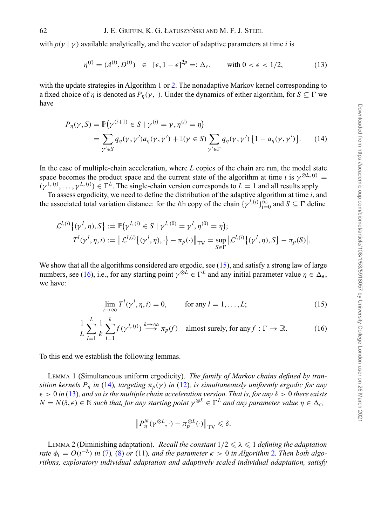<span id="page-9-0"></span>with  $p(y | y)$  available analytically, and the vector of adaptive parameters at time *i* is

$$
\eta^{(i)} = (A^{(i)}, D^{(i)}) \in [\epsilon, 1 - \epsilon]^{2p} =: \Delta_{\epsilon}, \quad \text{with } 0 < \epsilon < 1/2,\tag{13}
$$

with the update strategies in Algorithm [1](#page-7-0) or [2.](#page-8-0) The nonadaptive Markov kernel corresponding to a fixed choice of  $\eta$  is denoted as  $P_{\eta}(\gamma, \cdot)$ . Under the dynamics of either algorithm, for  $S \subseteq \Gamma$  we have

$$
P_{\eta}(\gamma, S) = \mathbb{P}(\gamma^{(i+1)} \in S \mid \gamma^{(i)} = \gamma, \eta^{(i)} = \eta)
$$
  
= 
$$
\sum_{\gamma' \in S} q_{\eta}(\gamma, \gamma') a_{\eta}(\gamma, \gamma') + \mathbb{I}(\gamma \in S) \sum_{\gamma' \in \Gamma} q_{\eta}(\gamma, \gamma') \{1 - a_{\eta}(\gamma, \gamma')\}. \tag{14}
$$

In the case of multiple-chain acceleration, where *L* copies of the chain are run, the model state space becomes the product space and the current state of the algorithm at time *i* is  $\gamma^{\otimes L,(i)}$  =  $(\gamma^{1,(i)}, \ldots, \gamma^{L,(i)}) \in \Gamma^L$ . The single-chain version corresponds to  $L = 1$  and all results apply.

To assess ergodicity, we need to define the distribution of the adaptive algorithm at time *i*, and the associated total variation distance: for the *l*th copy of the chain  $\{\gamma^{l,(i)}\}_{i=0}^{\infty}$  and  $S \subseteq \Gamma$  define

$$
\mathcal{L}^{l,(i)}\{(\gamma^l,\eta),S\} := \mathbb{P}(\gamma^{l,(i)} \in S \mid \gamma^{l,(0)} = \gamma^l, \eta^{(0)} = \eta);
$$
  

$$
T^l(\gamma^l,\eta,i) := \|\mathcal{L}^{l,(i)}\{(\gamma^l,\eta),\cdot\} - \pi_p(\cdot)\|_{TV} = \sup_{S \in \Gamma} |\mathcal{L}^{l,(i)}\{(\gamma^l,\eta),S\} - \pi_p(S)|.
$$

We show that all the algorithms considered are ergodic, see (15), and satisfy a strong law of large numbers, see (16), i.e., for any starting point  $\gamma^{\otimes L} \in \Gamma^L$  and any initial parameter value  $\eta \in \Delta_{\epsilon}$ , we have:

$$
\lim_{i \to \infty} T^l(\gamma^l, \eta, i) = 0, \qquad \text{for any } l = 1, \dots, L; \tag{15}
$$

$$
\frac{1}{L} \sum_{l=1}^{L} \frac{1}{k} \sum_{i=1}^{k} f(\gamma^{l, (i)}) \stackrel{k \to \infty}{\longrightarrow} \pi_p(f) \quad \text{almost surely, for any } f: \Gamma \to \mathbb{R}.
$$
 (16)

To this end we establish the following lemmas.

Lemma 1 (Simultaneous uniform ergodicity). *The family of Markov chains defined by transition kernels P<sub>n</sub> in* (14)*, targeting*  $\pi_p(\gamma)$  *in* [\(12\)](#page-8-0)*, is simultaneously uniformly ergodic for any*  $\epsilon > 0$  in (13), and so is the multiple chain acceleration version. That is, for any  $\delta > 0$  there exists  $N = N(\delta, \epsilon) \in \mathbb{N}$  *such that, for any starting point*  $\gamma^{\otimes L} \in \Gamma^L$  *and any parameter value*  $\eta \in \Delta_{\epsilon}$ *,* 

$$
\left\|P_{\eta}^{N}(\gamma^{\otimes L},\cdot)-\pi_{p}^{\otimes L}(\cdot)\right\|_{\text{TV}}\leq \delta.
$$

LEMMA 2 (Diminishing adaptation). *Recall the constant*  $1/2 \le \lambda \le 1$  *defining the adaptation rate*  $\phi_i = O(i^{-\lambda})$  *in* [\(7\)](#page-6-0), [\(8\)](#page-6-0) *or* [\(11\)](#page-8-0)*, and the parameter*  $\kappa > 0$  *in Algorithm* [2](#page-8-0)*. Then both algorithms, exploratory individual adaptation and adaptively scaled individual adaptation, satisfy*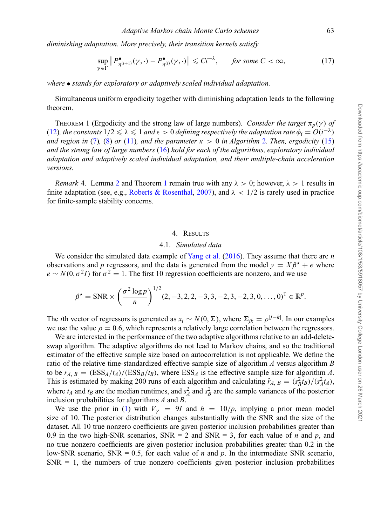<span id="page-10-0"></span>*diminishing adaptation. More precisely, their transition kernels satisfy*

$$
\sup_{\gamma \in \Gamma} \left\| P^{\bullet}_{\eta^{(i+1)}}(\gamma, \cdot) - P^{\bullet}_{\eta^{(i)}}(\gamma, \cdot) \right\| \leq C i^{-\lambda}, \quad \text{for some } C < \infty,
$$
\n(17)

*where* • *stands for exploratory or adaptively scaled individual adaptation.*

Simultaneous uniform ergodicity together with diminishing adaptation leads to the following theorem.

THEOREM 1 (Ergodicity and the strong law of large numbers). *Consider the target*  $\pi_p(\gamma)$  *of* [\(12\)](#page-8-0), the constants  $1/2 \le \lambda \le 1$  and  $\epsilon > 0$  defining respectively the adaptation rate  $\phi_i = O(i^{-\lambda})$ *and region in* [\(7\)](#page-6-0), [\(8\)](#page-6-0) *or* [\(11\)](#page-8-0), *and the parameter*  $\kappa > 0$  *in Algorithm* [2](#page-8-0)*. Then, ergodicity* [\(15\)](#page-9-0) *and the strong law of large numbers* [\(16\)](#page-9-0) *hold for each of the algorithms, exploratory individual adaptation and adaptively scaled individual adaptation, and their multiple-chain acceleration versions.*

*Remark* 4. Lemma [2](#page-9-0) and Theorem 1 remain true with any  $\lambda > 0$ ; however,  $\lambda > 1$  results in finite adaptation (see, e.g., [Roberts & Rosenthal,](#page-16-0) [2007](#page-16-0)), and  $\lambda < 1/2$  is rarely used in practice for finite-sample stability concerns.

### 4. RESULTS

## 4.1. *Simulated data*

We consider the simulated data example of [Yang et al.](#page-16-0) [\(2016](#page-16-0)). They assume that there are *n* observations and *p* regressors, and the data is generated from the model  $y = X\beta^* + e$  where  $e \sim N(0, \sigma^2 I)$  for  $\sigma^2 = 1$ . The first 10 regression coefficients are nonzero, and we use

$$
\beta^* = \text{SNR} \times \left(\frac{\sigma^2 \log p}{n}\right)^{1/2} (2, -3, 2, 2, -3, 3, -2, 3, -2, 3, 0, \dots, 0)^{\text{T}} \in \mathbb{R}^p.
$$

The *i*th vector of regressors is generated as  $x_i \sim N(0, \Sigma)$ , where  $\Sigma_{jk} = \rho^{|j-k|}$ . In our examples we use the value  $\rho = 0.6$ , which represents a relatively large correlation between the regressors.

We are interested in the performance of the two adaptive algorithms relative to an add-deleteswap algorithm. The adaptive algorithms do not lead to Markov chains, and so the traditional estimator of the effective sample size based on autocorrelation is not applicable. We define the ratio of the relative time-standardized effective sample size of algorithm *A* versus algorithm *B* to be  $r_{A, B} = (ESS_A/t_A)/(ESS_B/t_B)$ , where  $ESS_A$  is the effective sample size for algorithm *A*. This is estimated by making 200 runs of each algorithm and calculating  $\hat{r}_{A, B} = (s_B^2 t_B)/(s_A^2 t_A)$ , where  $t_A$  and  $t_B$  are the median runtimes, and  $s_A^2$  and  $s_B^2$  are the sample variances of the posterior inclusion probabilities for algorithms *A* and *B*.

We use the prior in [\(1\)](#page-2-0) with  $V<sub>y</sub> = 9I$  and  $h = 10/p$ , implying a prior mean model size of 10. The posterior distribution changes substantially with the SNR and the size of the dataset. All 10 true nonzero coefficients are given posterior inclusion probabilities greater than 0.9 in the two high-SNR scenarios,  $SNR = 2$  and  $SNR = 3$ , for each value of *n* and *p*, and no true nonzero coefficients are given posterior inclusion probabilities greater than 0.2 in the low-SNR scenario, SNR = 0.5, for each value of *n* and *p*. In the intermediate SNR scenario,  $SNR = 1$ , the numbers of true nonzero coefficients given posterior inclusion probabilities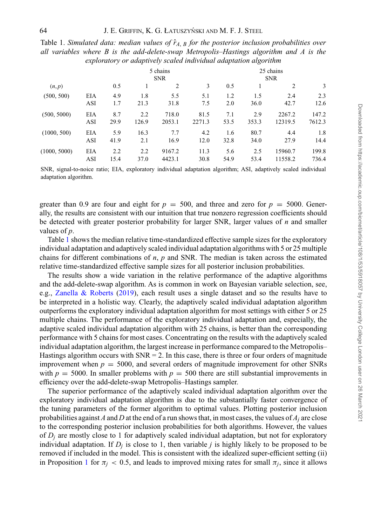|              | $\overline{ }$ | ✓          | $\overline{ }$ |        |        | $\mathbf{I}$ | ပ          |         |        |  |
|--------------|----------------|------------|----------------|--------|--------|--------------|------------|---------|--------|--|
|              |                | 5 chains   |                |        |        | 25 chains    |            |         |        |  |
|              |                | <b>SNR</b> |                |        |        |              | <b>SNR</b> |         |        |  |
| (n,p)        |                | 0.5        |                | 2      | 3      | 0.5          |            | 2       | 3      |  |
| (500, 500)   | EIA            | 4.9        | 1.8            | 5.5    | 5.1    | 1.2          | 1.5        | 2.4     | 2.3    |  |
|              | ASI            | 1.7        | 21.3           | 31.8   | 7.5    | 2.0          | 36.0       | 42.7    | 12.6   |  |
| (500, 5000)  | EIA            | 8.7        | 2.2            | 718.0  | 81.5   | 7.1          | 2.9        | 2267.2  | 147.2  |  |
|              | ASI            | 29.9       | 126.9          | 2053.1 | 2271.3 | 53.5         | 353.3      | 12319.5 | 7612.3 |  |
| (1000, 500)  | EIA            | 5.9        | 16.3           | 7.7    | 4.2    | 1.6          | 80.7       | 4.4     | 1.8    |  |
|              | ASI            | 41.9       | 2.1            | 16.9   | 12.0   | 32.8         | 34.0       | 27.9    | 14.4   |  |
| (1000, 5000) | EIA            | 2.2        | 2.2            | 9167.2 | 11.3   | 5.6          | 2.5        | 15960.7 | 199.8  |  |
|              | ASI            | 15.4       | 37.0           | 4423.1 | 30.8   | 54.9         | 53.4       | 11558.2 | 736.4  |  |

Table 1. *Simulated data: median values of r*ˆ*A*, *<sup>B</sup> for the posterior inclusion probabilities over all variables where B is the add-delete-swap Metropolis–Hastings algorithm and A is the exploratory or adaptively scaled individual adaptation algorithm*

SNR, signal-to-noice ratio; EIA, exploratory individual adaptation algorithm; ASI, adaptively scaled individual adaptation algorithm.

greater than 0.9 are four and eight for  $p = 500$ , and three and zero for  $p = 5000$ . Generally, the results are consistent with our intuition that true nonzero regression coefficients should be detected with greater posterior probability for larger SNR, larger values of *n* and smaller values of *p*.

Table 1 shows the median relative time-standardized effective sample sizes for the exploratory individual adaptation and adaptively scaled individual adaptation algorithms with 5 or 25 multiple chains for different combinations of *n*, *p* and SNR. The median is taken across the estimated relative time-standardized effective sample sizes for all posterior inclusion probabilities.

The results show a wide variation in the relative performance of the adaptive algorithms and the add-delete-swap algorithm. As is common in work on Bayesian variable selection, see, e.g., [Zanella & Roberts](#page-16-0) [\(2019](#page-16-0)), each result uses a single dataset and so the results have to be interpreted in a holistic way. Clearly, the adaptively scaled individual adaptation algorithm outperforms the exploratory individual adaptation algorithm for most settings with either 5 or 25 multiple chains. The performance of the exploratory individual adaptation and, especially, the adaptive scaled individual adaptation algorithm with 25 chains, is better than the corresponding performance with 5 chains for most cases. Concentrating on the results with the adaptively scaled individual adaptation algorithm, the largest increase in performance compared to the Metropolis– Hastings algorithm occurs with  $SNR = 2$ . In this case, there is three or four orders of magnitude improvement when  $p = 5000$ , and several orders of magnitude improvement for other SNRs with  $p = 5000$ . In smaller problems with  $p = 500$  there are still substantial improvements in efficiency over the add-delete-swap Metropolis–Hastings sampler.

The superior performance of the adaptively scaled individual adaptation algorithm over the exploratory individual adaptation algorithm is due to the substantially faster convergence of the tuning parameters of the former algorithm to optimal values. Plotting posterior inclusion probabilities against *A* and *D* at the end of a run shows that, in most cases, the values of *Aj* are close to the corresponding posterior inclusion probabilities for both algorithms. However, the values of  $D_i$  are mostly close to 1 for adaptively scaled individual adaptation, but not for exploratory individual adaptation. If  $D_i$  is close to 1, then variable  $j$  is highly likely to be proposed to be removed if included in the model. This is consistent with the idealized super-efficient setting (ii) in Proposition [1](#page-4-0) for  $\pi$ <sup>*j*</sup> < 0.5, and leads to improved mixing rates for small  $\pi$ *j*, since it allows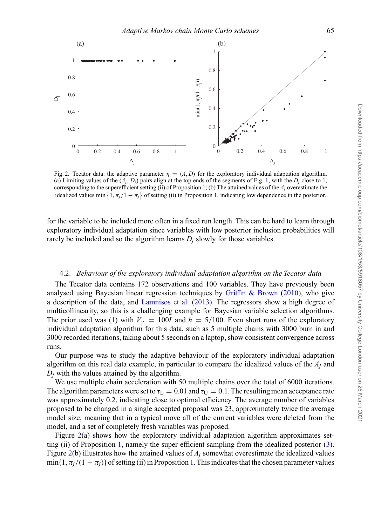<span id="page-12-0"></span>

Fig. 2. Tecator data: the adaptive parameter  $\eta = (A, D)$  for the exploratory individual adaptation algorithm. (a) Limiting values of the  $(A_i, D_j)$  pairs align at the top ends of the segments of Fig. [1,](#page-5-0) with the  $D_j$  close to 1, corresponding to the superefficient setting (ii) of Proposition [1;](#page-4-0) (b) The attained values of the *Aj* overestimate the idealized values min  $\{1, \pi_j/1 - \pi_j\}$  $\{1, \pi_j/1 - \pi_j\}$  $\{1, \pi_j/1 - \pi_j\}$  of setting (ii) in Proposition 1, indicating low dependence in the posterior.

for the variable to be included more often in a fixed run length. This can be hard to learn through exploratory individual adaptation since variables with low posterior inclusion probabilities will rarely be included and so the algorithm learns  $D_i$  slowly for those variables.

## 4.2. *Behaviour of the exploratory individual adaptation algorithm on the Tecator data*

The Tecator data contains 172 observations and 100 variables. They have previously been analysed using Bayesian linear regression techniques by Griffin  $\&$  Brown [\(2010](#page-15-0)), who give a description of the data, and [Lamnisos et al.](#page-15-0) [\(2013\)](#page-15-0). The regressors show a high degree of multicollinearity, so this is a challenging example for Bayesian variable selection algorithms. The prior used was [\(1\)](#page-2-0) with  $V<sub>\gamma</sub> = 100$ *I* and  $h = 5/100$ . Even short runs of the exploratory individual adaptation algorithm for this data, such as 5 multiple chains with 3000 burn in and 3000 recorded iterations, taking about 5 seconds on a laptop, show consistent convergence across runs.

Our purpose was to study the adaptive behaviour of the exploratory individual adaptation algorithm on this real data example, in particular to compare the idealized values of the  $A_i$  and  $D_i$  with the values attained by the algorithm.

We use multiple chain acceleration with 50 multiple chains over the total of 6000 iterations. The algorithm parameters were set to  $\tau_L = 0.01$  and  $\tau_U = 0.1$ . The resulting mean acceptance rate was approximately 0.2, indicating close to optimal efficiency. The average number of variables proposed to be changed in a single accepted proposal was 23, approximately twice the average model size, meaning that in a typical move all of the current variables were deleted from the model, and a set of completely fresh variables was proposed.

Figure 2(a) shows how the exploratory individual adaptation algorithm approximates setting (ii) of Proposition [1,](#page-4-0) namely the super-efficient sampling from the idealized posterior [\(3\)](#page-3-0). Figure 2(b) illustrates how the attained values of *Aj* somewhat overestimate the idealized values  $\min\{1, \pi_i/(1 - \pi_i)\}\$  of setting (ii) in Proposition [1.](#page-4-0) This indicates that the chosen parameter values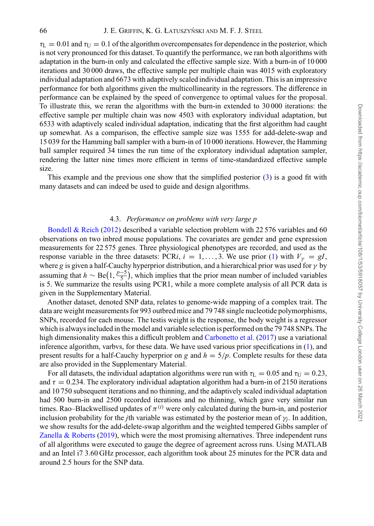<span id="page-13-0"></span> $\tau_L = 0.01$  and  $\tau_U = 0.1$  of the algorithm overcompensates for dependence in the posterior, which is not very pronounced for this dataset. To quantify the performance, we ran both algorithms with adaptation in the burn-in only and calculated the effective sample size. With a burn-in of 10 000 iterations and 30 000 draws, the effective sample per multiple chain was 4015 with exploratory individual adaptation and 6673 with adaptively scaled individual adaptation. This is an impressive performance for both algorithms given the multicollinearity in the regressors. The difference in performance can be explained by the speed of convergence to optimal values for the proposal. To illustrate this, we reran the algorithms with the burn-in extended to 30 000 iterations: the effective sample per multiple chain was now 4503 with exploratory individual adaptation, but 6533 with adaptively scaled individual adaptation, indicating that the first algorithm had caught up somewhat. As a comparison, the effective sample size was 1555 for add-delete-swap and 15 039 for the Hamming ball sampler with a burn-in of 10 000 iterations. However, the Hamming ball sampler required 34 times the run time of the exploratory individual adaptation sampler, rendering the latter nine times more efficient in terms of time-standardized effective sample size.

This example and the previous one show that the simplified posterior  $(3)$  is a good fit with many datasets and can indeed be used to guide and design algorithms.

# 4.3. *Performance on problems with very large p*

Bondell & Reich [\(2012](#page-15-0)) described a variable selection problem with 22 576 variables and 60 observations on two inbred mouse populations. The covariates are gender and gene expression measurements for 22 575 genes. Three physiological phenotypes are recorded, and used as the response variable in the three datasets: PCR*i*,  $i = 1, \ldots, 3$ . We use prior [\(1\)](#page-2-0) with  $V<sub>V</sub> = gI$ , where *g* is given a half-Cauchy hyperprior distribution, and a hierarchical prior was used for γ by assuming that  $h \sim \text{Be}(1, \frac{p-5}{5})$ , which implies that the prior mean number of included variables is 5. We summarize the results using PCR1, while a more complete analysis of all PCR data is given in the [Supplementary Material.](https://academic.oup.com/biomet/article-lookup/doi/10.1093/biomet/asaa055#supplementary-data)

Another dataset, denoted SNP data, relates to genome-wide mapping of a complex trait. The data are weight measurements for 993 outbred mice and 79 748 single nucleotide polymorphisms, SNPs, recorded for each mouse. The testis weight is the response, the body weight is a regressor which is always included in the model and variable selection is performed on the 79 748 SNPs. The high dimensionality makes this a difficult problem and [Carbonetto et al.](#page-15-0) [\(2017\)](#page-15-0) use a variational inference algorithm, varbvs, for these data. We have used various prior specifications in [\(1\)](#page-2-0), and present results for a half-Cauchy hyperprior on *g* and *h* = 5/*p*. Complete results for these data are also provided in the [Supplementary Material.](https://academic.oup.com/biomet/article-lookup/doi/10.1093/biomet/asaa055#supplementary-data)

For all datasets, the individual adaptation algorithms were run with  $\tau_L = 0.05$  and  $\tau_U = 0.23$ , and  $\tau = 0.234$ . The exploratory individual adaptation algorithm had a burn-in of 2150 iterations and 10 750 subsequent iterations and no thinning, and the adaptively scaled individual adaptation had 500 burn-in and 2500 recorded iterations and no thinning, which gave very similar run times. Rao–Blackwellised updates of  $\pi^{(i)}$  were only calculated during the burn-in, and posterior inclusion probability for the *j*th variable was estimated by the posterior mean of  $\gamma$ *j*. In addition, we show results for the add-delete-swap algorithm and the weighted tempered Gibbs sampler of [Zanella & Roberts](#page-16-0) [\(2019\)](#page-16-0), which were the most promising alternatives. Three independent runs of all algorithms were executed to gauge the degree of agreement across runs. Using MATLAB and an Intel i7 3.60 GHz processor, each algorithm took about 25 minutes for the PCR data and around 2.5 hours for the SNP data.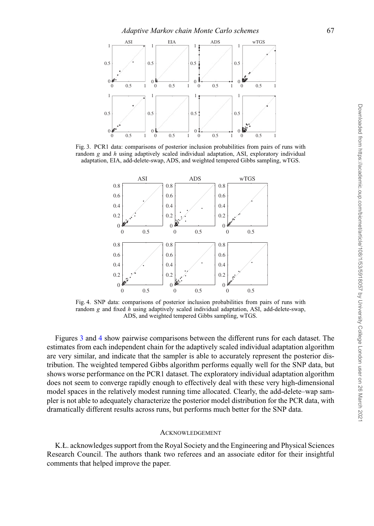

Fig. 3. PCR1 data: comparisons of posterior inclusion probabilities from pairs of runs with random *g* and *h* using adaptively scaled individual adaptation, ASI, exploratory individual adaptation, EIA, add-delete-swap, ADS, and weighted tempered Gibbs sampling, wTGS.



Fig. 4. SNP data: comparisons of posterior inclusion probabilities from pairs of runs with random *g* and fixed *h* using adaptively scaled individual adaptation, ASI, add-delete-swap, ADS, and weighted tempered Gibbs sampling, wTGS.

Figures 3 and 4 show pairwise comparisons between the different runs for each dataset. The estimates from each independent chain for the adaptively scaled individual adaptation algorithm are very similar, and indicate that the sampler is able to accurately represent the posterior distribution. The weighted tempered Gibbs algorithm performs equally well for the SNP data, but shows worse performance on the PCR1 dataset. The exploratory individual adaptation algorithm does not seem to converge rapidly enough to effectively deal with these very high-dimensional model spaces in the relatively modest running time allocated. Clearly, the add-delete–wap sampler is not able to adequately characterize the posterior model distribution for the PCR data, with dramatically different results across runs, but performs much better for the SNP data.

#### **ACKNOWLEDGEMENT**

K.Ł. acknowledges support from the Royal Society and the Engineering and Physical Sciences Research Council. The authors thank two referees and an associate editor for their insightful comments that helped improve the paper.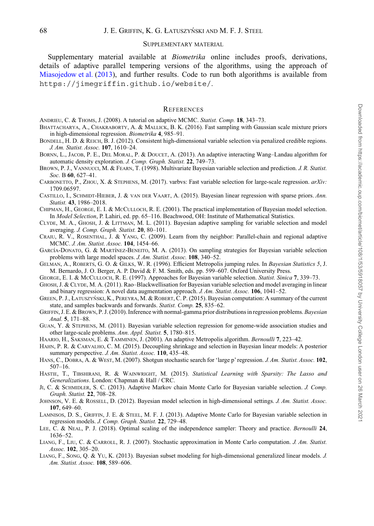#### Supplementary material

<span id="page-15-0"></span>[Supplementary material](https://academic.oup.com/biomet/article-lookup/doi/10.1093/biomet/asaa055#supplementary-data) available at *Biometrika* online includes proofs, derivations, details of adaptive parallel tempering versions of the algorithms, using the approach of [Miasojedow et al.](#page-16-0) [\(2013\)](#page-16-0), and further results. Code to run both algorithms is available from https://jimegriffin.github.io/website/.

## **REFERENCES**

- Andrieu, C. & Thoms, J. (2008). A tutorial on adaptive MCMC. *Statist. Comp.* **18**, 343–73.
- BHATTACHARYA, A., CHAKRABORTY, A. & MALLICK, B. K. (2016). Fast sampling with Gaussian scale mixture priors in high-dimensional regression. *Biometrika* **4**, 985–91.
- BONDELL, H. D. & REICH, B. J. (2012). Consistent high-dimensional variable selection via penalized credible regions. *J. Am. Statist. Assoc.* **107**, 1610–24.
- BORNN, L., JACOB, P. E., DEL MORAL, P. & DOUCET, A. (2013). An adaptive interacting Wang–Landau algorithm for automatic density exploration. *J. Comp. Graph. Statist.* **22**, 749–73.
- Brown, P. J., Vannucci, M. & Fearn, T. (1998). Multivariate Bayesian variable selection and prediction. *J. R. Statist. Soc.* B **60**, 627–41.
- Carbonetto, P., Zhou, X. & Stephens, M. (2017). varbvs: Fast variable selection for large-scale regression. *arXiv:* 1709.06597.
- Castillo, I., Schmidt-Hieber, J. & van der Vaart, A. (2015). Bayesian linear regression with sparse priors. *Ann. Statist.* **43**, 1986–2018.
- CHIPMAN, H., GEORGE, E. I. & McCULLOCH, R. E. (2001). The practical implementation of Bayesian model selection. In *Model Selection*, P. Lahiri, ed. pp. 65–116. Beachwood, OH: Institute of Mathematical Statistics.
- Clyde, M. A., Ghosh, J. & Littman, M. L. (2011). Bayesian adaptive sampling for variable selection and model averaging. *J. Comp. Graph. Statist.* **20**, 80–101.
- Craiu, R. V., Rosenthal, J. & Yang, C. (2009). Learn from thy neighbor: Parallel-chain and regional adaptive MCMC. *J. Am. Statist. Assoc.* **104**, 1454–66.
- GARCÍA-DONATO, G. & MARTÍNEZ-BENEITO, M. A. (2013). On sampling strategies for Bayesian variable selection problems with large model spaces. *J. Am. Statist. Assoc.* **108**, 340–52.
- Gelman, A., Roberts, G. O. & Gilks, W. R. (1996). Efficient Metropolis jumping rules. In *Bayesian Statistics 5*, J. M. Bernardo, J. O. Berger, A. P. David & F. M. Smith, eds. pp. 599–607. Oxford University Press.
- George, E. I. & McCulloch, R. E. (1997). Approaches for Bayesian variable selection. *Statist. Sinica* **7**, 339–73.
- Ghosh, J. & Clyde, M. A. (2011). Rao–Blackwellisation for Bayesian variable selection and model averaging in linear and binary regression: A novel data augmentation approach. *J. Am. Statist. Assoc.* **106**, 1041–52.
- GREEN, P. J., ŁATUSZYŃSKI, K., PEREYRA, M. & ROBERT, C. P. (2015). Bayesian computation: A summary of the current state, and samples backwards and forwards. *Statist. Comp.* **25**, 835–62.
- Griffin, J. E.&Brown, P. J.(2010). Inference with normal-gamma prior distributions in regression problems.*Bayesian Anal.* **5**, 171–88.
- Guan, Y. & Stephens, M. (2011). Bayesian variable selection regression for genome-wide association studies and other large-scale problems. *Ann. Appl. Statist.* **5**, 1780–815.
- Haario, H., Saksman, E. & Tamminen, J. (2001). An adaptive Metropolis algorithm. *Bernoulli* **7**, 223–42.
- HAHN, P. R. & CARVALHO, C. M. (2015). Decoupling shrinkage and selection in Bayesian linear models: A posterior summary perspective. *J. Am. Statist. Assoc.* **110**, 435–48.
- Hans, C., Dobra, A. & West, M. (2007). Shotgun stochastic search for 'large p' regression. *J. Am. Statist. Assoc.* **102**, 507–16.
- Hastie, T., Tibshirani, R. & Wainwright, M. (2015). *Statistical Learning with Sparsity: The Lasso and Generalizations*. London: Chapman & Hall / CRC.
- Ji, C. & Schmidler, S. C. (2013). Adaptive Markov chain Monte Carlo for Bayesian variable selection. *J. Comp. Graph. Statist.* **22**, 708–28.
- Johnson, V. E. & Rossell, D. (2012). Bayesian model selection in high-dimensional settings. *J. Am. Statist. Assoc.* **107**, 649–60.
- Lamnisos, D. S., Griffin, J. E. & Steel, M. F. J. (2013). Adaptive Monte Carlo for Bayesian variable selection in regression models. *J. Comp. Graph. Statist.* **22**, 729–48.
- Lee, C. & Neal, P. J. (2018). Optimal scaling of the independence sampler: Theory and practice. *Bernoulli* **24**, 1636–52.
- Liang, F., Liu, C. & Carroll, R. J. (2007). Stochastic approximation in Monte Carlo computation. *J. Am. Statist. Assoc.* **102**, 305–20.
- Liang, F., Song, Q. & Yu, K. (2013). Bayesian subset modeling for high-dimensional generalized linear models. *J. Am. Statist. Assoc.* **108**, 589–606.